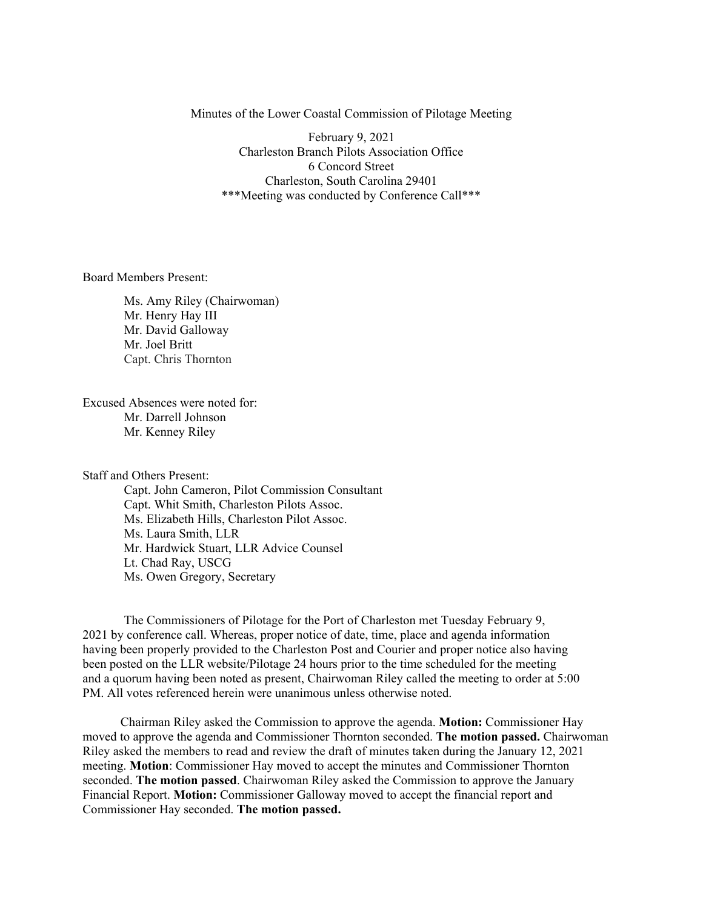Minutes of the Lower Coastal Commission of Pilotage Meeting

 February 9, 2021 Charleston Branch Pilots Association Office 6 Concord Street Charleston, South Carolina 29401 \*\*\*Meeting was conducted by Conference Call\*\*\*

Board Members Present:

Ms. Amy Riley (Chairwoman) Mr. Henry Hay III Mr. David Galloway Mr. Joel Britt Capt. Chris Thornton

Excused Absences were noted for: Mr. Darrell Johnson Mr. Kenney Riley

Staff and Others Present:

Capt. John Cameron, Pilot Commission Consultant Capt. Whit Smith, Charleston Pilots Assoc. Ms. Elizabeth Hills, Charleston Pilot Assoc. Ms. Laura Smith, LLR Mr. Hardwick Stuart, LLR Advice Counsel Lt. Chad Ray, USCG Ms. Owen Gregory, Secretary

The Commissioners of Pilotage for the Port of Charleston met Tuesday February 9, 2021 by conference call. Whereas, proper notice of date, time, place and agenda information having been properly provided to the Charleston Post and Courier and proper notice also having been posted on the LLR website/Pilotage 24 hours prior to the time scheduled for the meeting and a quorum having been noted as present, Chairwoman Riley called the meeting to order at 5:00 PM. All votes referenced herein were unanimous unless otherwise noted.

 Chairman Riley asked the Commission to approve the agenda. **Motion:** Commissioner Hay moved to approve the agenda and Commissioner Thornton seconded. **The motion passed.** Chairwoman Riley asked the members to read and review the draft of minutes taken during the January 12, 2021 meeting. **Motion**: Commissioner Hay moved to accept the minutes and Commissioner Thornton seconded. **The motion passed**. Chairwoman Riley asked the Commission to approve the January Financial Report. **Motion:** Commissioner Galloway moved to accept the financial report and Commissioner Hay seconded. **The motion passed.**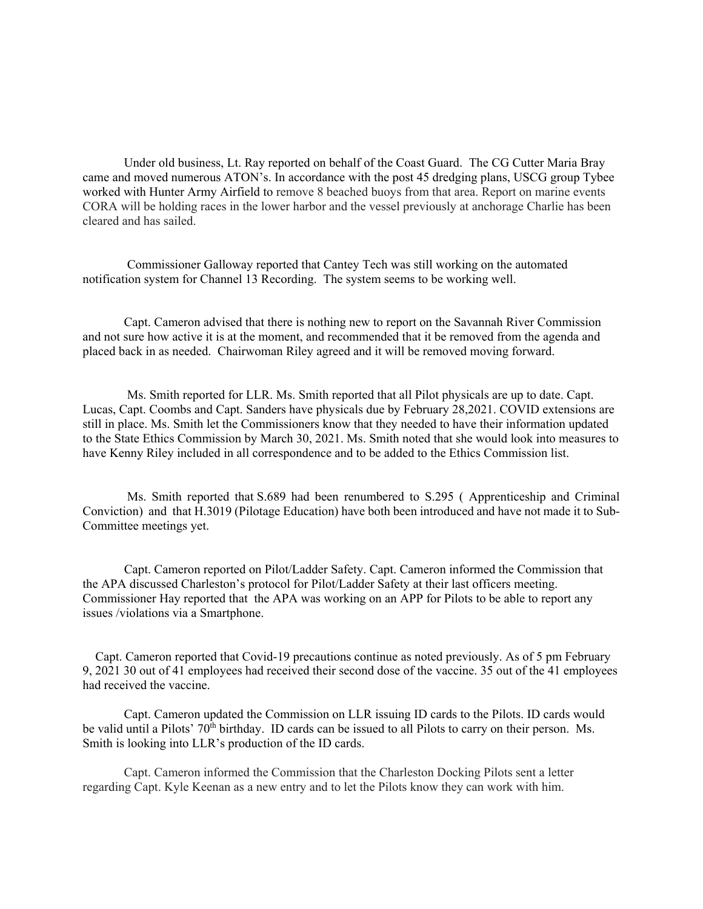Under old business, Lt. Ray reported on behalf of the Coast Guard. The CG Cutter Maria Bray came and moved numerous ATON's. In accordance with the post 45 dredging plans, USCG group Tybee worked with Hunter Army Airfield to remove 8 beached buoys from that area. Report on marine events CORA will be holding races in the lower harbor and the vessel previously at anchorage Charlie has been cleared and has sailed.

 Commissioner Galloway reported that Cantey Tech was still working on the automated notification system for Channel 13 Recording. The system seems to be working well.

Capt. Cameron advised that there is nothing new to report on the Savannah River Commission and not sure how active it is at the moment, and recommended that it be removed from the agenda and placed back in as needed. Chairwoman Riley agreed and it will be removed moving forward.

 Ms. Smith reported for LLR. Ms. Smith reported that all Pilot physicals are up to date. Capt. Lucas, Capt. Coombs and Capt. Sanders have physicals due by February 28,2021. COVID extensions are still in place. Ms. Smith let the Commissioners know that they needed to have their information updated to the State Ethics Commission by March 30, 2021. Ms. Smith noted that she would look into measures to have Kenny Riley included in all correspondence and to be added to the Ethics Commission list.

 Ms. Smith reported that S.689 had been renumbered to S.295 ( Apprenticeship and Criminal Conviction) and that H.3019 (Pilotage Education) have both been introduced and have not made it to Sub-Committee meetings yet.

 Capt. Cameron reported on Pilot/Ladder Safety. Capt. Cameron informed the Commission that the APA discussed Charleston's protocol for Pilot/Ladder Safety at their last officers meeting. Commissioner Hay reported that the APA was working on an APP for Pilots to be able to report any issues /violations via a Smartphone.

 Capt. Cameron reported that Covid-19 precautions continue as noted previously. As of 5 pm February 9, 2021 30 out of 41 employees had received their second dose of the vaccine. 35 out of the 41 employees had received the vaccine.

Capt. Cameron updated the Commission on LLR issuing ID cards to the Pilots. ID cards would be valid until a Pilots' 70<sup>th</sup> birthday. ID cards can be issued to all Pilots to carry on their person. Ms. Smith is looking into LLR's production of the ID cards.

 Capt. Cameron informed the Commission that the Charleston Docking Pilots sent a letter regarding Capt. Kyle Keenan as a new entry and to let the Pilots know they can work with him.